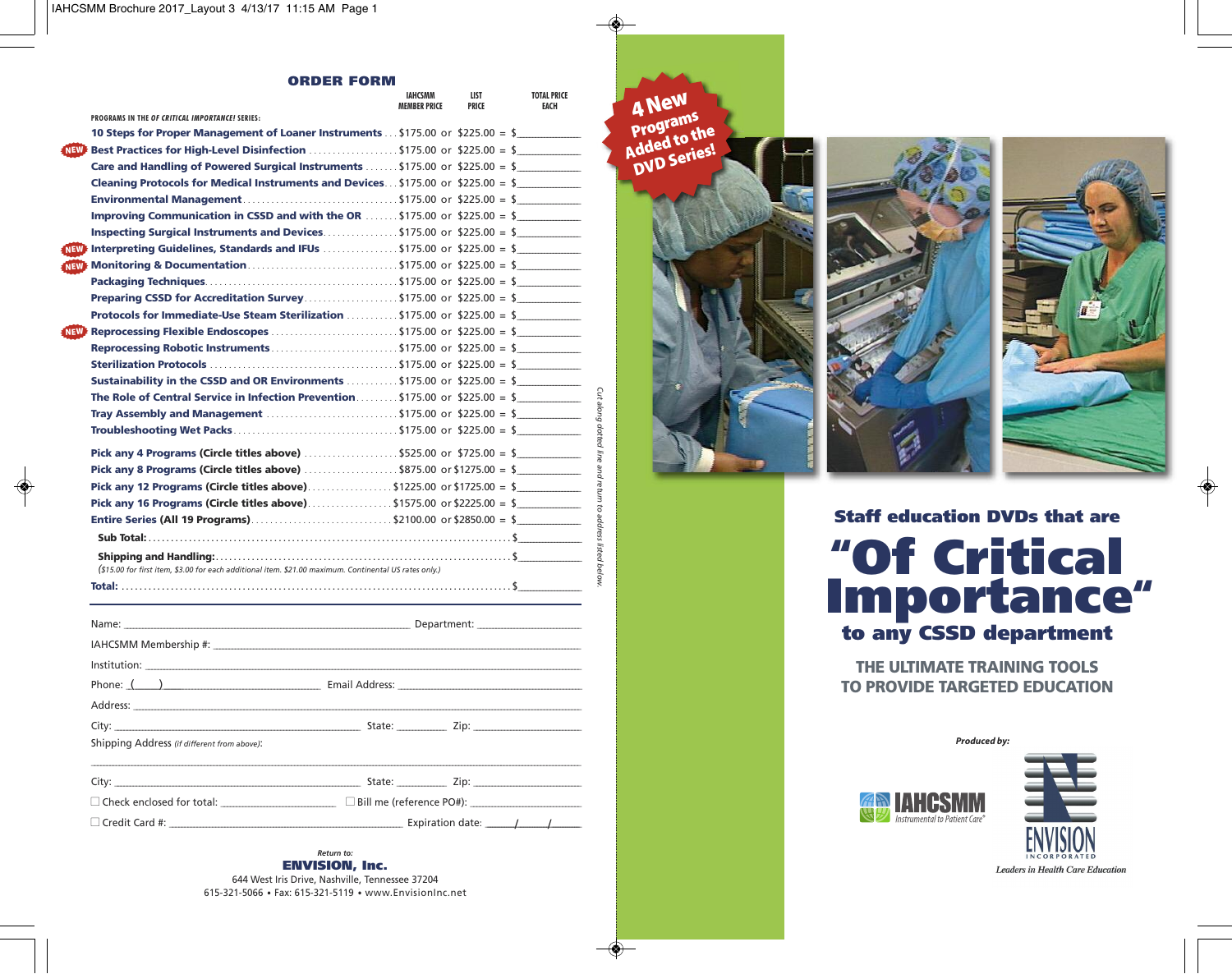◈

#### **ORDER FORM**

|                                                                                                                             | <b>MEMBER PRICE</b> | LIST<br><b>PRICE</b> | <b>TOTAL PRICE</b><br><b>FACH</b> |
|-----------------------------------------------------------------------------------------------------------------------------|---------------------|----------------------|-----------------------------------|
| PROGRAMS IN THE OF CRITICAL IMPORTANCE! SERIES:                                                                             |                     |                      |                                   |
| <b>10 Steps for Proper Management of Loaner Instruments</b> \$175.00 or \$225.00 = \$                                       |                     |                      |                                   |
| NEW: Best Practices for High-Level Disinfection $\ldots \ldots \ldots \ldots$ \$175.00 or \$225.00 = \$                     |                     |                      |                                   |
| Care and Handling of Powered Surgical Instruments  \$175.00 or \$225.00 = \$                                                |                     |                      |                                   |
| <b>Cleaning Protocols for Medical Instruments and Devices \$175.00 or \$225.00 = \$</b>                                     |                     |                      |                                   |
| <b>Environmental Management</b> \$175.00 or \$225.00 = \$                                                                   |                     |                      |                                   |
| <b>Improving Communication in CSSD and with the OR  \$175.00 or \$225.00 = \$</b>                                           |                     |                      |                                   |
| <b>Inspecting Surgical Instruments and Devices.</b> \$175.00 or \$225.00 = \$                                               |                     |                      |                                   |
| $\overline{\text{Naw}}$ Interpreting Guidelines, Standards and IFUs $\ldots \ldots \ldots \ldots$ \$175.00 or \$225.00 = \$ |                     |                      |                                   |
| May Monitoring & Documentation\$175.00 or \$225.00 = \$                                                                     |                     |                      |                                   |
|                                                                                                                             |                     |                      |                                   |
| <b>Preparing CSSD for Accreditation Survey</b> \$175.00 or \$225.00 = \$                                                    |                     |                      |                                   |
| Protocols for Immediate-Use Steam Sterilization \$175.00 or \$225.00 = \$                                                   |                     |                      |                                   |
|                                                                                                                             |                     |                      |                                   |
|                                                                                                                             |                     |                      |                                   |
|                                                                                                                             |                     |                      |                                   |
| <b>Sustainability in the CSSD and OR Environments </b> \$175.00 or \$225.00 = \$                                            |                     |                      |                                   |
| The Role of Central Service in Infection Prevention \$175.00 or \$225.00 = \$                                               |                     |                      |                                   |
| <b>Tray Assembly and Management</b> \$175.00 or \$225.00 = \$                                                               |                     |                      |                                   |
|                                                                                                                             |                     |                      |                                   |
| Pick any 4 Programs (Circle titles above) $\ldots$ \$525.00 or \$725.00 = \$                                                |                     |                      |                                   |
| <b>Pick any 8 Programs (Circle titles above)</b> \$875.00 or \$1275.00 = \$                                                 |                     |                      |                                   |
| Pick any 12 Programs (Circle titles above)\$1225.00 or \$1725.00 = \$                                                       |                     |                      |                                   |
| Pick any 16 Programs (Circle titles above)\$1575.00 or \$2225.00 = \$                                                       |                     |                      |                                   |
|                                                                                                                             |                     |                      |                                   |
|                                                                                                                             |                     |                      |                                   |
| (\$15.00 for first item, \$3.00 for each additional item. \$21.00 maximum. Continental US rates only.)                      |                     |                      |                                   |
|                                                                                                                             |                     |                      |                                   |
|                                                                                                                             |                     |                      |                                   |

| Shipping Address (if different from above): |                                                                  |  |  |
|---------------------------------------------|------------------------------------------------------------------|--|--|
|                                             |                                                                  |  |  |
|                                             |                                                                  |  |  |
|                                             | $\Box$ Check enclosed for total: $\Box$ Bill me (reference PO#): |  |  |
|                                             |                                                                  |  |  |

*Return to:* **ENVISION, Inc.** 644 West Iris Drive, Nashville, Tennessee 37204

615-321-5066 • Fax: 615-321-5119 • www.EnvisionInc.net

**4New Programs Added to the**

*Cut along dotted line and*

*return to address*

*listed below.*





**Staff education DVDs that are "Of Critical Importance" to any CSSD department**

**THE ULTIMATE TRAINING TOOLS TO PROVIDE TARGETED EDUCATION**

*Produced by:*



 $\bigoplus$ 

Leaders in Health Care Education